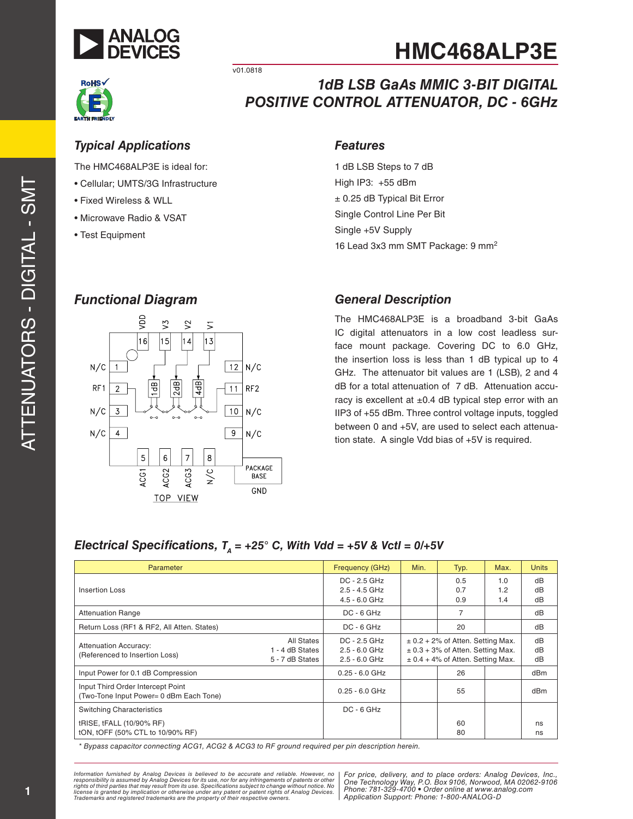



v01.0818

# *1dB LSB GaAs MMIC 3-BIT DIGITAL POSITIVE CONTROL ATTENUATOR, DC - 6GHz*

### *Typical Applications Features*

The HMC468ALP3E is ideal for:

- Cellular; UMTS/3G Infrastructure
- Fixed Wireless & WLL
- Microwave Radio & VSAT
- Test Equipment

1 dB LSB Steps to 7 dB High IP3: +55 dBm ± 0.25 dB Typical Bit Error Single Control Line Per Bit Single +5V Supply 16 Lead 3x3 mm SMT Package: 9 mm 2

## *Functional Diagram*



### *General Description*

The HMC468ALP3E is a broadband 3-bit GaAs IC digital attenuators in a low cost leadless sur face mount package. Covering DC to 6.0 GHz, the insertion loss is less than 1 dB typical up to 4 GHz. The attenuator bit values are 1 (LSB), 2 and 4 dB for a total attenuation of 7 dB. Attenuation accu racy is excellent at  $\pm 0.4$  dB typical step error with an IIP3 of +55 dBm. Three control voltage inputs, toggled between 0 and +5V, are used to select each attenua tion state. A single Vdd bias of +5V is required.

# *Electrical Specifications, TA = +25° C, With Vdd = +5V & Vctl = 0/+5V*

| Parameter                                                                    |                                                  | Frequency (GHz)                                      | Min.                                                                                                                    | Typ.              | Max.              | <b>Units</b>   |
|------------------------------------------------------------------------------|--------------------------------------------------|------------------------------------------------------|-------------------------------------------------------------------------------------------------------------------------|-------------------|-------------------|----------------|
| Insertion Loss                                                               |                                                  | DC - 2.5 GHz<br>$2.5 - 4.5$ GHz<br>$4.5 - 6.0$ GHz   |                                                                                                                         | 0.5<br>0.7<br>0.9 | 1.0<br>1.2<br>1.4 | dB<br>dB<br>dB |
| <b>Attenuation Range</b>                                                     |                                                  | $DC - 6 GHz$                                         |                                                                                                                         | $\overline{7}$    |                   | dB             |
| Return Loss (RF1 & RF2, All Atten. States)                                   |                                                  | $DC - 6 GHz$                                         |                                                                                                                         | 20                |                   | dB             |
| <b>Attenuation Accuracy:</b><br>(Referenced to Insertion Loss)               | All States<br>1 - 4 dB States<br>5 - 7 dB States | $DC - 2.5 GHz$<br>$2.5 - 6.0$ GHz<br>$2.5 - 6.0$ GHz | $\pm$ 0.2 + 2% of Atten. Setting Max.<br>$\pm$ 0.3 + 3% of Atten. Setting Max.<br>$\pm$ 0.4 + 4% of Atten. Setting Max. |                   | dB<br>dB<br>dB    |                |
| Input Power for 0.1 dB Compression                                           |                                                  | $0.25 - 6.0$ GHz                                     |                                                                                                                         | 26                |                   | dBm            |
| Input Third Order Intercept Point<br>(Two-Tone Input Power= 0 dBm Each Tone) |                                                  | $0.25 - 6.0$ GHz                                     |                                                                                                                         | 55                |                   | dBm            |
| <b>Switching Characteristics</b>                                             |                                                  | $DC - 6 GHz$                                         |                                                                                                                         |                   |                   |                |
| tRISE, tFALL (10/90% RF)<br>tON, tOFF (50% CTL to 10/90% RF)                 |                                                  |                                                      |                                                                                                                         | 60<br>80          |                   | ns<br>ns       |

*\* Bypass capacitor connecting ACG1, ACG2 & ACG3 to RF ground required per pin description herein.*

Information furnished by Analog Devices is believed to be accurate and reliable. However, no<br>responsibility is assumed by Analog Devices for its use, nor for any infringements of patents or other<br>rights of third parties th *Trademarks and registered trademarks are the property of their respective owners.*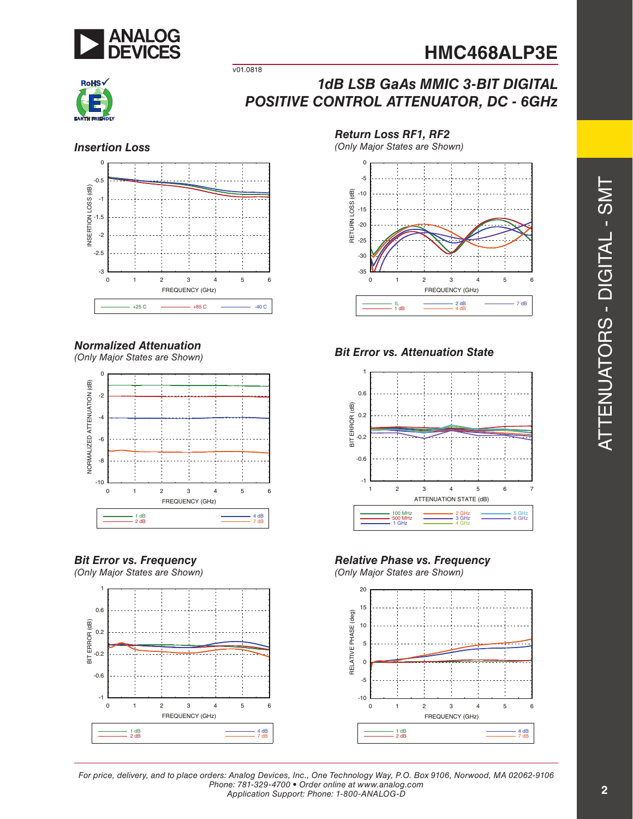



# *1dB LSB GaAs MMIC 3-BIT DIGITAL POSITIVE CONTROL ATTENUATOR, DC - 6GHz*



v01.0818

### *Normalized Attenuation*

*(Only Major States are Shown)*



### *Bit Error vs. Frequency*

*(Only Major States are Shown)*



*Return Loss RF1, RF2*

*(Only Major States are Shown) Insertion Loss*



### *Bit Error vs. Attenuation State*



*Relative Phase vs. Frequency*

*(Only Major States are Shown)*

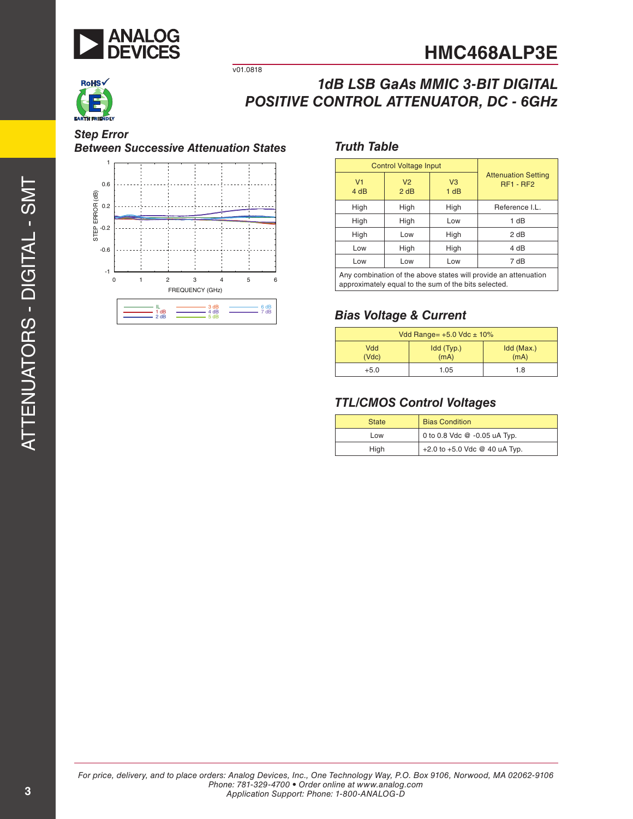



# *1dB LSB GaAs MMIC 3-BIT DIGITAL POSITIVE CONTROL ATTENUATOR, DC - 6GHz*

#### *Step Error Between Successive Attenuation States*



v01.0818

### *Truth Table*

| <b>Control Voltage Input</b>                                    |                        |                        |                                                |
|-----------------------------------------------------------------|------------------------|------------------------|------------------------------------------------|
| V <sub>1</sub><br>4 dB                                          | V <sub>2</sub><br>2 dB | V <sub>3</sub><br>1 dB | <b>Attenuation Setting</b><br><b>RF1 - RF2</b> |
| High                                                            | High                   | High                   | Reference I.L.                                 |
| High                                                            | High                   | Low                    | 1 dB                                           |
| High                                                            | Low                    | High                   | 2 dB                                           |
| Low                                                             | High                   | High                   | 4 dB                                           |
| Low                                                             | Low                    | Low                    | 7 dB                                           |
| Any combination of the above states will provide an attenuation |                        |                        |                                                |

approximately equal to the sum of the bits selected.

### *Bias Voltage & Current*

| Vdd Range= $+5.0$ Vdc $\pm$ 10% |                    |                    |  |
|---------------------------------|--------------------|--------------------|--|
| Vdd<br>(Vdc)                    | Idd (Typ.)<br>(mA) | Idd (Max.)<br>(mA) |  |
| $+5.0$                          | 1.05               | 1.8                |  |

### *TTL/CMOS Control Voltages*

| <b>State</b> | <b>Bias Condition</b>         |  |
|--------------|-------------------------------|--|
| Low          | 0 to 0.8 Vdc @ -0.05 uA Typ.  |  |
| High         | +2.0 to +5.0 Vdc @ 40 uA Typ. |  |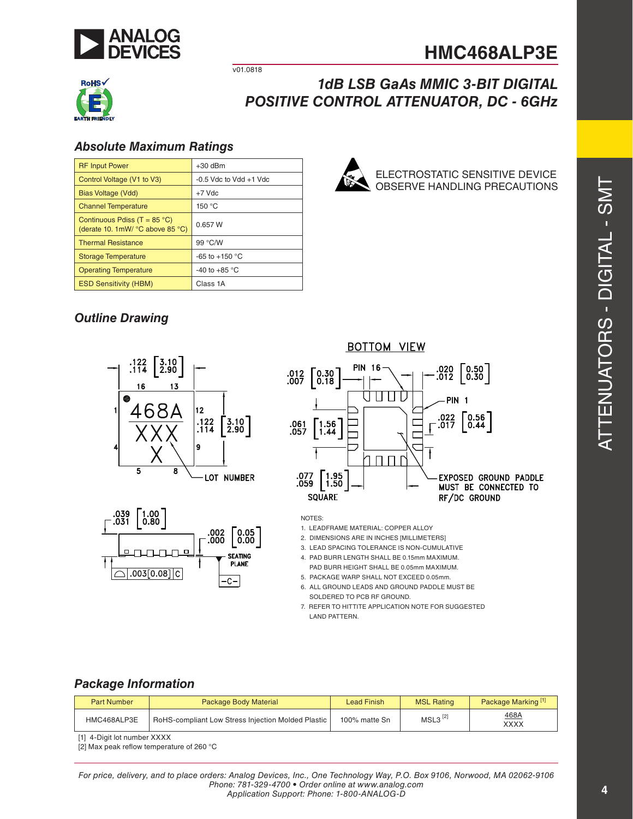

ELECTROSTATIC SENSITIVE DEVICE OBSERVE HANDLING PRECAUTIONS



v01.0818

# *1dB LSB GaAs MMIC 3-BIT DIGITAL POSITIVE CONTROL ATTENUATOR, DC - 6GHz*

### *Absolute Maximum Ratings*

| <b>RF Input Power</b>                                                     | $+30$ dBm                  |
|---------------------------------------------------------------------------|----------------------------|
| Control Voltage (V1 to V3)                                                | $-0.5$ Vdc to Vdd $+1$ Vdc |
| Bias Voltage (Vdd)                                                        | $+7$ Vdc                   |
| <b>Channel Temperature</b>                                                | 150 °C                     |
| Continuous Pdiss (T = $85^{\circ}$ C)<br>(derate 10. 1mW/ °C above 85 °C) | 0.657 W                    |
| <b>Thermal Resistance</b>                                                 | 99 °C/W                    |
| <b>Storage Temperature</b>                                                | $-65$ to $+150$ °C         |
| <b>Operating Temperature</b>                                              | -40 to +85 $\degree$ C     |
| <b>ESD Sensitivity (HBM)</b>                                              | Class 1A                   |

# *Outline Drawing*







NOTES:

- 1. LEADFRAME MATERIAL: COPPER ALLOY
- 2. DIMENSIONS ARE IN INCHES [MILLIMETERS]
- 3. LEAD SPACING TOLERANCE IS NON-CUMULATIVE
- 4. PAD BURR LENGTH SHALL BE 0.15mm MAXIMUM.
- PAD BURR HEIGHT SHALL BE 0.05mm MAXIMUM.
- 5. PACKAGE WARP SHALL NOT EXCEED 0.05mm.
- 6. ALL GROUND LEADS AND GROUND PADDLE MUST BE SOLDERED TO PCB RF GROUND.
- 7. REFER TO HITTITE APPLICATION NOTE FOR SUGGESTED LAND PATTERN.

### *Package Information*

| <b>Part Number</b> | <b>Package Body Material</b>                       | Lead Finish   | <b>MSL Rating</b> | Package Marking <sup>[1]</sup> |
|--------------------|----------------------------------------------------|---------------|-------------------|--------------------------------|
| HMC468ALP3E        | RoHS-compliant Low Stress Injection Molded Plastic | 100% matte Sn | $MSL3^{[2]}$      | 468A<br>XXXX                   |

[1] 4-Digit lot number XXXX

[2] Max peak reflow temperature of 260 °C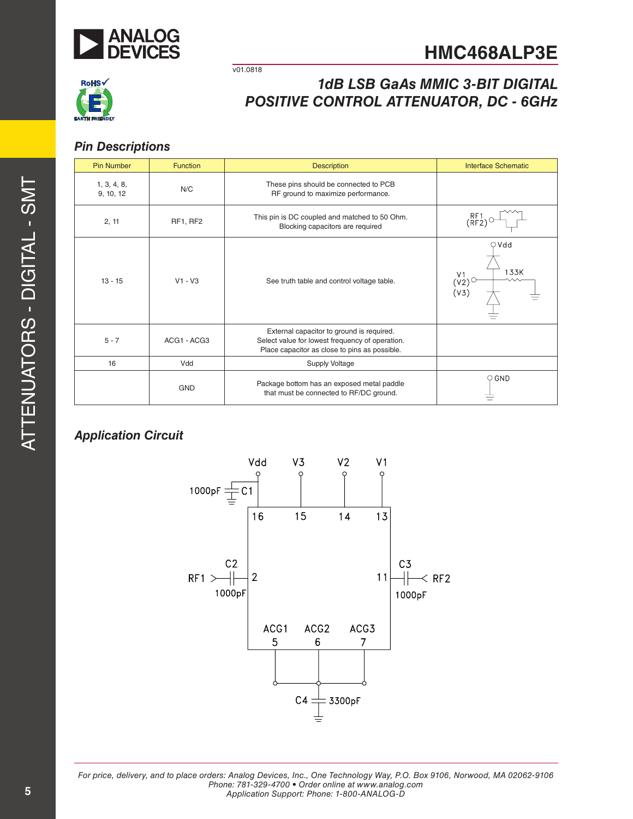



# *1dB LSB GaAs MMIC 3-BIT DIGITAL POSITIVE CONTROL ATTENUATOR, DC - 6GHz*

### *Pin Descriptions*

| <b>Pin Number</b>        | <b>Function</b> | <b>Description</b>                                                                                                                            | <b>Interface Schematic</b> |
|--------------------------|-----------------|-----------------------------------------------------------------------------------------------------------------------------------------------|----------------------------|
| 1, 3, 4, 8,<br>9, 10, 12 | N/C             | These pins should be connected to PCB<br>RF ground to maximize performance.                                                                   |                            |
| 2, 11                    | RF1, RF2        | This pin is DC coupled and matched to 50 Ohm.<br>Blocking capacitors are required                                                             | RF1<br>(RF2)               |
| $13 - 15$                | $V1 - V3$       | See truth table and control voltage table.                                                                                                    | $\bigcirc$ Vdd<br>133K     |
| $5 - 7$                  | ACG1 - ACG3     | External capacitor to ground is required.<br>Select value for lowest frequency of operation.<br>Place capacitor as close to pins as possible. |                            |
| 16                       | Vdd             | <b>Supply Voltage</b>                                                                                                                         |                            |
|                          | <b>GND</b>      | Package bottom has an exposed metal paddle<br>that must be connected to RF/DC ground.                                                         | $\circ$ GND                |

v01.0818

## *Application Circuit*